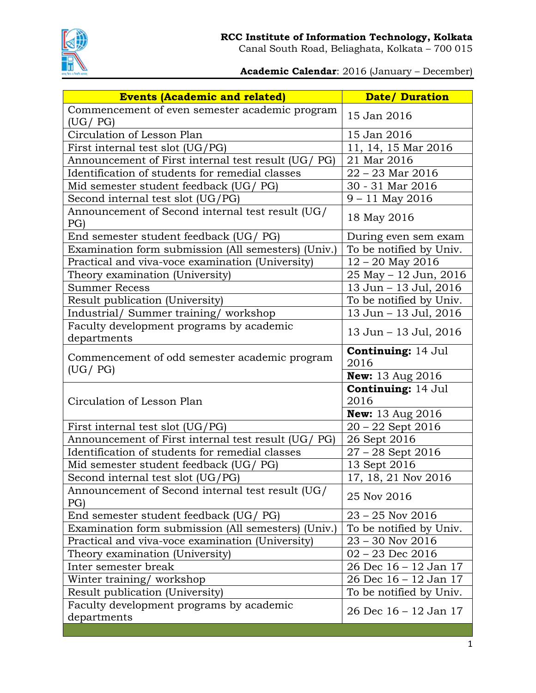

Canal South Road, Beliaghata, Kolkata – 700 015

## **Academic Calendar**: 2016 (January – December)

| <b>Events (Academic and related)</b>                       | <b>Date/ Duration</b>             |
|------------------------------------------------------------|-----------------------------------|
| Commencement of even semester academic program             | 15 Jan 2016                       |
| (UG / PG)                                                  |                                   |
| Circulation of Lesson Plan                                 | 15 Jan 2016                       |
| First internal test slot (UG/PG)                           | 11, 14, 15 Mar 2016               |
| Announcement of First internal test result (UG/ PG)        | 21 Mar 2016                       |
| Identification of students for remedial classes            | $22 - 23$ Mar $2016$              |
| Mid semester student feedback (UG/ PG)                     | 30 - 31 Mar 2016                  |
| Second internal test slot (UG/PG)                          | $9 - 11$ May 2016                 |
| Announcement of Second internal test result (UG/<br>PG)    | 18 May 2016                       |
| End semester student feedback (UG/ PG)                     | During even sem exam              |
| Examination form submission (All semesters) (Univ.)        | To be notified by Univ.           |
| Practical and viva-voce examination (University)           | $12 - 20$ May 2016                |
| Theory examination (University)                            | 25 May - 12 Jun, 2016             |
| <b>Summer Recess</b>                                       | 13 Jun - 13 Jul, 2016             |
| Result publication (University)                            | To be notified by Univ.           |
| Industrial/ Summer training/ workshop                      | 13 Jun - 13 Jul, 2016             |
| Faculty development programs by academic<br>departments    | 13 Jun - 13 Jul, 2016             |
| Commencement of odd semester academic program<br>(UG / PG) | <b>Continuing: 14 Jul</b><br>2016 |
|                                                            | <b>New:</b> 13 Aug 2016           |
| Circulation of Lesson Plan                                 | <b>Continuing: 14 Jul</b><br>2016 |
|                                                            | <b>New:</b> 13 Aug 2016           |
| First internal test slot (UG/PG)                           | $20 - 22$ Sept 2016               |
| Announcement of First internal test result (UG/ PG)        | 26 Sept 2016                      |
| Identification of students for remedial classes            | $27 - 28$ Sept 2016               |
| Mid semester student feedback (UG/ PG)                     | 13 Sept 2016                      |
| Second internal test slot (UG/PG)                          | 17, 18, 21 Nov 2016               |
| Announcement of Second internal test result (UG/<br>PG)    | 25 Nov 2016                       |
| End semester student feedback (UG/ PG)                     | $23 - 25$ Nov 2016                |
| Examination form submission (All semesters) (Univ.)        | To be notified by Univ.           |
| Practical and viva-voce examination (University)           | $23 - 30$ Nov $2016$              |
| Theory examination (University)                            | $02 - 23$ Dec 2016                |
| Inter semester break                                       | 26 Dec 16 - 12 Jan 17             |
| Winter training/workshop                                   | 26 Dec 16 – 12 Jan 17             |
| Result publication (University)                            | To be notified by Univ.           |
| Faculty development programs by academic<br>departments    | 26 Dec 16 – 12 Jan 17             |
|                                                            |                                   |
|                                                            |                                   |